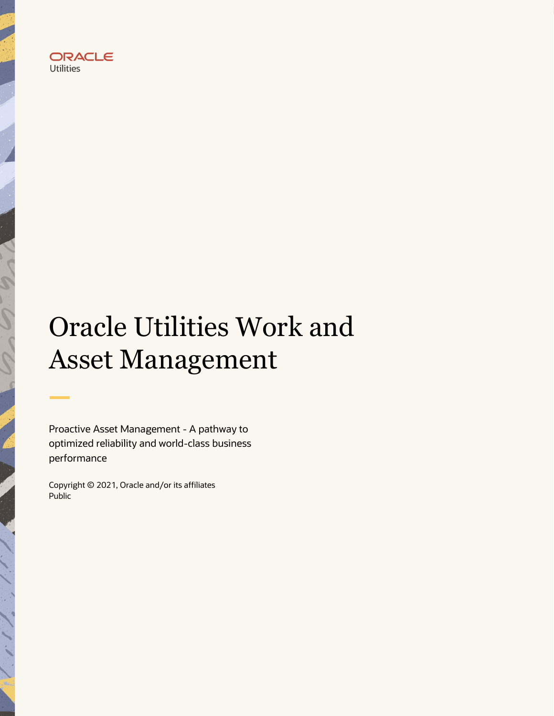

# Oracle Utilities Work and Asset Management

Proactive Asset Management - A pathway to optimized reliability and world-class business performance

Copyright © 2021, Oracle and/or its affiliates Public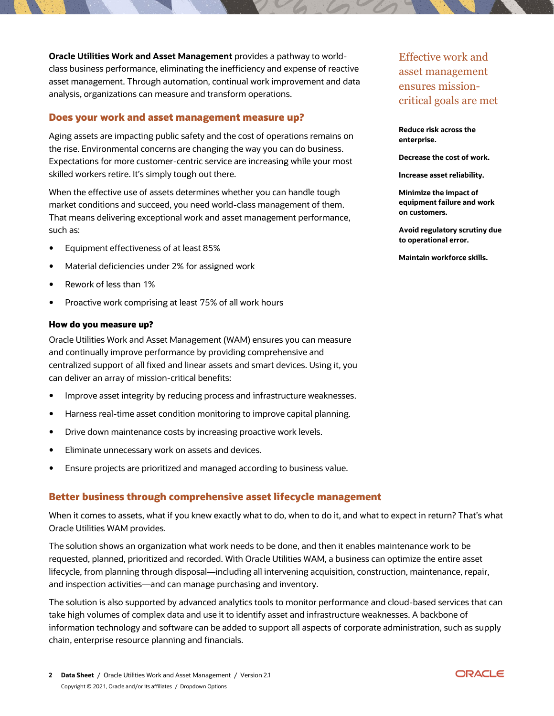**Oracle Utilities Work and Asset Management** provides a pathway to worldclass business performance, eliminating the inefficiency and expense of reactive asset management. Through automation, continual work improvement and data analysis, organizations can measure and transform operations.

## **Does your work and asset management measure up?**

Aging assets are impacting public safety and the cost of operations remains on the rise. Environmental concerns are changing the way you can do business. Expectations for more customer-centric service are increasing while your most skilled workers retire. It's simply tough out there.

When the effective use of assets determines whether you can handle tough market conditions and succeed, you need world-class management of them. That means delivering exceptional work and asset management performance, such as:

- Equipment effectiveness of at least 85%
- Material deficiencies under 2% for assigned work
- Rework of less than 1%
- Proactive work comprising at least 75% of all work hours

#### **How do you measure up?**

Oracle Utilities Work and Asset Management (WAM) ensures you can measure and continually improve performance by providing comprehensive and centralized support of all fixed and linear assets and smart devices. Using it, you can deliver an array of mission-critical benefits:

- Improve asset integrity by reducing process and infrastructure weaknesses.
- Harness real-time asset condition monitoring to improve capital planning.
- Drive down maintenance costs by increasing proactive work levels.
- Eliminate unnecessary work on assets and devices.
- Ensure projects are prioritized and managed according to business value.

# **Better business through comprehensive asset lifecycle management**

When it comes to assets, what if you knew exactly what to do, when to do it, and what to expect in return? That's what Oracle Utilities WAM provides.

The solution shows an organization what work needs to be done, and then it enables maintenance work to be requested, planned, prioritized and recorded. With Oracle Utilities WAM, a business can optimize the entire asset lifecycle, from planning through disposal—including all intervening acquisition, construction, maintenance, repair, and inspection activities—and can manage purchasing and inventory.

The solution is also supported by advanced analytics tools to monitor performance and cloud-based services that can take high volumes of complex data and use it to identify asset and infrastructure weaknesses. A backbone of information technology and software can be added to support all aspects of corporate administration, such as supply chain, enterprise resource planning and financials.

#### **Reduce risk across the enterprise.**

**Decrease the cost of work.**

**Increase asset reliability.**

**Minimize the impact of equipment failure and work on customers.**

**Avoid regulatory scrutiny due to operational error.**

**Maintain workforce skills.**

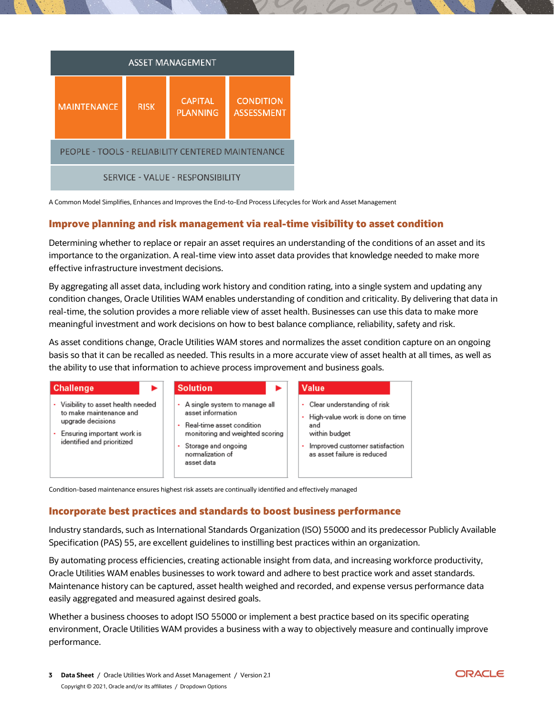

A Common Model Simplifies, Enhances and Improves the End-to-End Process Lifecycles for Work and Asset Management

# **Improve planning and risk management via real-time visibility to asset condition**

Determining whether to replace or repair an asset requires an understanding of the conditions of an asset and its importance to the organization. A real-time view into asset data provides that knowledge needed to make more effective infrastructure investment decisions.

By aggregating all asset data, including work history and condition rating, into a single system and updating any condition changes, Oracle Utilities WAM enables understanding of condition and criticality. By delivering that data in real-time, the solution provides a more reliable view of asset health. Businesses can use this data to make more meaningful investment and work decisions on how to best balance compliance, reliability, safety and risk.

As asset conditions change, Oracle Utilities WAM stores and normalizes the asset condition capture on an ongoing basis so that it can be recalled as needed. This results in a more accurate view of asset health at all times, as well as the ability to use that information to achieve process improvement and business goals.

| <b>Challenge</b><br>►                                                                                                                         | <b>Solution</b>                                                                                                                                                                  | <b>Value</b>                                                                                                                                                |
|-----------------------------------------------------------------------------------------------------------------------------------------------|----------------------------------------------------------------------------------------------------------------------------------------------------------------------------------|-------------------------------------------------------------------------------------------------------------------------------------------------------------|
| Visibility to asset health needed<br>to make maintenance and<br>upgrade decisions<br>Ensuring important work is<br>identified and prioritized | A single system to manage all<br>asset information<br>Real-time asset condition<br>monitoring and weighted scoring<br>Storage and ongoing<br>٠<br>normalization of<br>asset data | • Clear understanding of risk<br>• High-value work is done on time<br>and<br>within budget<br>Improved customer satisfaction<br>as asset failure is reduced |

**Incorporate best practices and standards to boost business performance**

Industry standards, such as International Standards Organization (ISO) 55000 and its predecessor Publicly Available Specification (PAS) 55, are excellent guidelines to instilling best practices within an organization.

By automating process efficiencies, creating actionable insight from data, and increasing workforce productivity, Oracle Utilities WAM enables businesses to work toward and adhere to best practice work and asset standards. Maintenance history can be captured, asset health weighed and recorded, and expense versus performance data easily aggregated and measured against desired goals.

Whether a business chooses to adopt ISO 55000 or implement a best practice based on its specific operating environment, Oracle Utilities WAM provides a business with a way to objectively measure and continually improve performance.

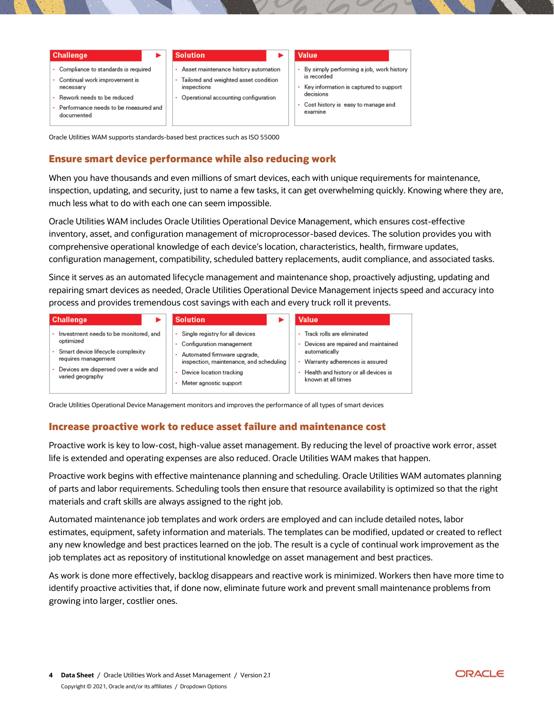| <b>Challenge</b>                                                                                                                                                              | <b>Solution</b>                                                                                                                      | Value                                                                                                                                                                  |
|-------------------------------------------------------------------------------------------------------------------------------------------------------------------------------|--------------------------------------------------------------------------------------------------------------------------------------|------------------------------------------------------------------------------------------------------------------------------------------------------------------------|
| • Compliance to standards is required<br>• Continual work improvement is<br>necessary<br>• Rework needs to be reduced<br>• Performance needs to be measured and<br>documented | Asset maintenance history automation<br>Tailored and weighted asset condition<br>inspections<br>Operational accounting configuration | • By simply performing a job, work history<br>is recorded<br>Key information is captured to support<br>decisions<br>Cost history is easy to manage and<br>٠<br>examine |

Oracle Utilities WAM supports standards-based best practices such as ISO 55000

# **Ensure smart device performance while also reducing work**

When you have thousands and even millions of smart devices, each with unique requirements for maintenance, inspection, updating, and security, just to name a few tasks, it can get overwhelming quickly. Knowing where they are, much less what to do with each one can seem impossible.

Oracle Utilities WAM includes Oracle Utilities Operational Device Management, which ensures cost-effective inventory, asset, and configuration management of microprocessor-based devices. The solution provides you with comprehensive operational knowledge of each device's location, characteristics, health, firmware updates, configuration management, compatibility, scheduled battery replacements, audit compliance, and associated tasks.

Since it serves as an automated lifecycle management and maintenance shop, proactively adjusting, updating and repairing smart devices as needed, Oracle Utilities Operational Device Management injects speed and accuracy into process and provides tremendous cost savings with each and every truck roll it prevents.

| <b>Challenge</b>                                                                                                                                                              | <b>Solution</b>                                                                                                                                                                                       | Value                                                                                                                                                                                          |
|-------------------------------------------------------------------------------------------------------------------------------------------------------------------------------|-------------------------------------------------------------------------------------------------------------------------------------------------------------------------------------------------------|------------------------------------------------------------------------------------------------------------------------------------------------------------------------------------------------|
| Investment needs to be monitored, and<br>optimized<br>· Smart device lifecycle complexity<br>requires management<br>Devices are dispersed over a wide and<br>varied geography | Single registry for all devices<br>Configuration management<br>$\sim$<br>Automated firmware upgrade,<br>inspection, maintenance, and scheduling<br>Device location tracking<br>Meter agnostic support | Track rolls are eliminated<br>Devices are repaired and maintained<br>٠<br>automatically<br>• Warranty adherences is assured<br>Health and history or all devices is<br>٠<br>known at all times |

Oracle Utilities Operational Device Management monitors and improves the performance of all types of smart devices

# **Increase proactive work to reduce asset failure and maintenance cost**

Proactive work is key to low-cost, high-value asset management. By reducing the level of proactive work error, asset life is extended and operating expenses are also reduced. Oracle Utilities WAM makes that happen.

Proactive work begins with effective maintenance planning and scheduling. Oracle Utilities WAM automates planning of parts and labor requirements. Scheduling tools then ensure that resource availability is optimized so that the right materials and craft skills are always assigned to the right job.

Automated maintenance job templates and work orders are employed and can include detailed notes, labor estimates, equipment, safety information and materials. The templates can be modified, updated or created to reflect any new knowledge and best practices learned on the job. The result is a cycle of continual work improvement as the job templates act as repository of institutional knowledge on asset management and best practices.

As work is done more effectively, backlog disappears and reactive work is minimized. Workers then have more time to identify proactive activities that, if done now, eliminate future work and prevent small maintenance problems from growing into larger, costlier ones.

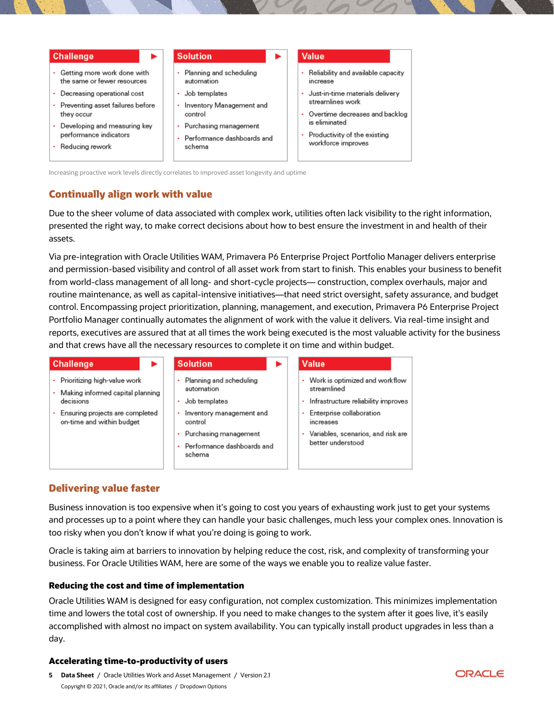#### **Challenge**

- Getting more work done with the same or fewer resources
- Decreasing operational cost
- Preventing asset failures before they occur
- Developing and measuring key performance indicators
- Reducing rework

#### **Solution**

- ä, Planning and scheduling automation
- Job templates
- Inventory Management and control
- Purchasing management
- Performance dashboards and schema

#### **Value**

- Reliability and available capacity increase
- Just-in-time materials delivery streamlines work
- Overtime decreases and backlog is eliminated
- Productivity of the existing workforce improves

Increasing proactive work levels directly correlates to improved asset longevity and uptime

# **Continually align work with value**

Due to the sheer volume of data associated with complex work, utilities often lack visibility to the right information, presented the right way, to make correct decisions about how to best ensure the investment in and health of their assets.

Via pre-integration with Oracle Utilities WAM, Primavera P6 Enterprise Project Portfolio Manager delivers enterprise and permission-based visibility and control of all asset work from start to finish. This enables your business to benefit from world-class management of all long- and short-cycle projects— construction, complex overhauls, major and routine maintenance, as well as capital-intensive initiatives—that need strict oversight, safety assurance, and budget control. Encompassing project prioritization, planning, management, and execution, Primavera P6 Enterprise Project Portfolio Manager continually automates the alignment of work with the value it delivers. Via real-time insight and reports, executives are assured that at all times the work being executed is the most valuable activity for the business and that crews have all the necessary resources to complete it on time and within budget.

#### **Challenge Solution** Value Planning and scheduling · Prioritizing high-value work Work is optimized and workflow automation streamlined - Making informed capital planning decisions Job templates Infrastructure reliability improves Ensuring projects are completed Inventory management and Enterprise collaboration on-time and within budget control

- Purchasing management
- Performance dashboards and schema

|  | increases                            |
|--|--------------------------------------|
|  | • Variables, scenarios, and risk are |
|  | better understood                    |

# **Delivering value faster**

Business innovation is too expensive when it's going to cost you years of exhausting work just to get your systems and processes up to a point where they can handle your basic challenges, much less your complex ones. Innovation is too risky when you don't know if what you're doing is going to work.

Oracle is taking aim at barriers to innovation by helping reduce the cost, risk, and complexity of transforming your business. For Oracle Utilities WAM, here are some of the ways we enable you to realize value faster.

# **Reducing the cost and time of implementation**

Oracle Utilities WAM is designed for easy configuration, not complex customization. This minimizes implementation time and lowers the total cost of ownership. If you need to make changes to the system after it goes live, it's easily accomplished with almost no impact on system availability. You can typically install product upgrades in less than a day.

# **Accelerating time-to-productivity of users**

**5 Data Sheet** / Oracle Utilities Work and Asset Management / Version 2.1 Copyright © 2021, Oracle and/or its affiliates / Dropdown Options